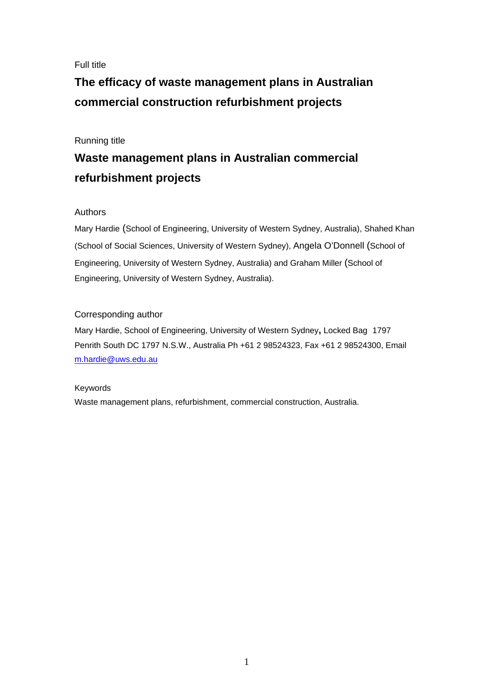## Full title

# **The efficacy of waste management plans in Australian commercial construction refurbishment projects**

## Running title

## **Waste management plans in Australian commercial refurbishment projects**

## Authors

Mary Hardie (School of Engineering, University of Western Sydney, Australia), Shahed Khan (School of Social Sciences, University of Western Sydney), Angela O'Donnell (School of Engineering, University of Western Sydney, Australia) and Graham Miller (School of Engineering, University of Western Sydney, Australia).

## Corresponding author

Mary Hardie, School of Engineering, University of Western Sydney**,** Locked Bag1797 Penrith South DC 1797 N.S.W., Australia Ph +61 2 98524323, Fax +61 2 98524300, Email m.hardie@uws.edu.au

### Keywords

Waste management plans, refurbishment, commercial construction, Australia.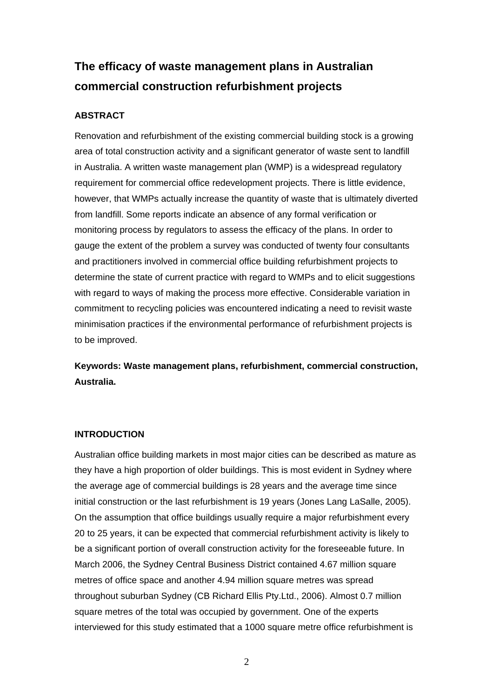# **The efficacy of waste management plans in Australian commercial construction refurbishment projects**

## **ABSTRACT**

Renovation and refurbishment of the existing commercial building stock is a growing area of total construction activity and a significant generator of waste sent to landfill in Australia. A written waste management plan (WMP) is a widespread regulatory requirement for commercial office redevelopment projects. There is little evidence, however, that WMPs actually increase the quantity of waste that is ultimately diverted from landfill. Some reports indicate an absence of any formal verification or monitoring process by regulators to assess the efficacy of the plans. In order to gauge the extent of the problem a survey was conducted of twenty four consultants and practitioners involved in commercial office building refurbishment projects to determine the state of current practice with regard to WMPs and to elicit suggestions with regard to ways of making the process more effective. Considerable variation in commitment to recycling policies was encountered indicating a need to revisit waste minimisation practices if the environmental performance of refurbishment projects is to be improved.

**Keywords: Waste management plans, refurbishment, commercial construction, Australia.** 

### **INTRODUCTION**

Australian office building markets in most major cities can be described as mature as they have a high proportion of older buildings. This is most evident in Sydney where the average age of commercial buildings is 28 years and the average time since initial construction or the last refurbishment is 19 years (Jones Lang LaSalle, 2005). On the assumption that office buildings usually require a major refurbishment every 20 to 25 years, it can be expected that commercial refurbishment activity is likely to be a significant portion of overall construction activity for the foreseeable future. In March 2006, the Sydney Central Business District contained 4.67 million square metres of office space and another 4.94 million square metres was spread throughout suburban Sydney (CB Richard Ellis Pty.Ltd., 2006). Almost 0.7 million square metres of the total was occupied by government. One of the experts interviewed for this study estimated that a 1000 square metre office refurbishment is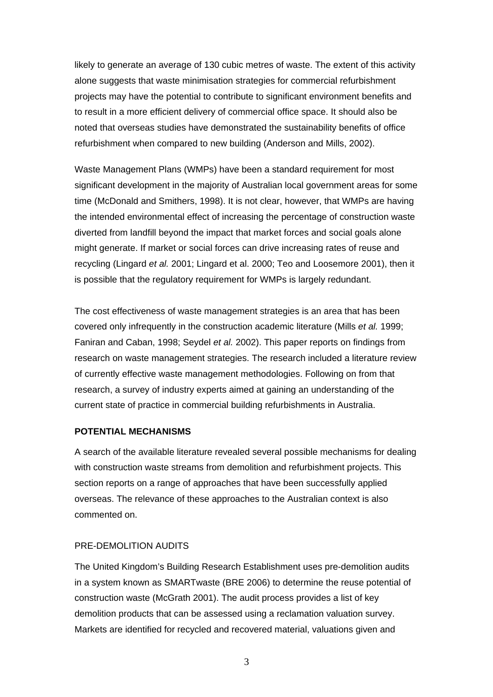likely to generate an average of 130 cubic metres of waste. The extent of this activity alone suggests that waste minimisation strategies for commercial refurbishment projects may have the potential to contribute to significant environment benefits and to result in a more efficient delivery of commercial office space. It should also be noted that overseas studies have demonstrated the sustainability benefits of office refurbishment when compared to new building (Anderson and Mills, 2002).

Waste Management Plans (WMPs) have been a standard requirement for most significant development in the majority of Australian local government areas for some time (McDonald and Smithers, 1998). It is not clear, however, that WMPs are having the intended environmental effect of increasing the percentage of construction waste diverted from landfill beyond the impact that market forces and social goals alone might generate. If market or social forces can drive increasing rates of reuse and recycling (Lingard *et al.* 2001; Lingard et al. 2000; Teo and Loosemore 2001), then it is possible that the regulatory requirement for WMPs is largely redundant.

The cost effectiveness of waste management strategies is an area that has been covered only infrequently in the construction academic literature (Mills *et al.* 1999; Faniran and Caban, 1998; Seydel *et al.* 2002). This paper reports on findings from research on waste management strategies. The research included a literature review of currently effective waste management methodologies. Following on from that research, a survey of industry experts aimed at gaining an understanding of the current state of practice in commercial building refurbishments in Australia.

#### **POTENTIAL MECHANISMS**

A search of the available literature revealed several possible mechanisms for dealing with construction waste streams from demolition and refurbishment projects. This section reports on a range of approaches that have been successfully applied overseas. The relevance of these approaches to the Australian context is also commented on.

#### PRE-DEMOLITION AUDITS

The United Kingdom's Building Research Establishment uses pre-demolition audits in a system known as SMARTwaste (BRE 2006) to determine the reuse potential of construction waste (McGrath 2001). The audit process provides a list of key demolition products that can be assessed using a reclamation valuation survey. Markets are identified for recycled and recovered material, valuations given and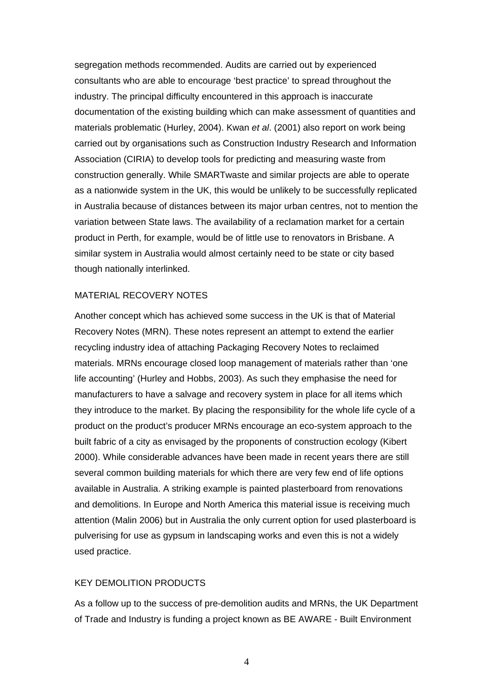segregation methods recommended. Audits are carried out by experienced consultants who are able to encourage 'best practice' to spread throughout the industry. The principal difficulty encountered in this approach is inaccurate documentation of the existing building which can make assessment of quantities and materials problematic (Hurley, 2004). Kwan *et al*. (2001) also report on work being carried out by organisations such as Construction Industry Research and Information Association (CIRIA) to develop tools for predicting and measuring waste from construction generally. While SMARTwaste and similar projects are able to operate as a nationwide system in the UK, this would be unlikely to be successfully replicated in Australia because of distances between its major urban centres, not to mention the variation between State laws. The availability of a reclamation market for a certain product in Perth, for example, would be of little use to renovators in Brisbane. A similar system in Australia would almost certainly need to be state or city based though nationally interlinked.

#### MATERIAL RECOVERY NOTES

Another concept which has achieved some success in the UK is that of Material Recovery Notes (MRN). These notes represent an attempt to extend the earlier recycling industry idea of attaching Packaging Recovery Notes to reclaimed materials. MRNs encourage closed loop management of materials rather than 'one life accounting' (Hurley and Hobbs, 2003). As such they emphasise the need for manufacturers to have a salvage and recovery system in place for all items which they introduce to the market. By placing the responsibility for the whole life cycle of a product on the product's producer MRNs encourage an eco-system approach to the built fabric of a city as envisaged by the proponents of construction ecology (Kibert 2000). While considerable advances have been made in recent years there are still several common building materials for which there are very few end of life options available in Australia. A striking example is painted plasterboard from renovations and demolitions. In Europe and North America this material issue is receiving much attention (Malin 2006) but in Australia the only current option for used plasterboard is pulverising for use as gypsum in landscaping works and even this is not a widely used practice.

#### KEY DEMOLITION PRODUCTS

As a follow up to the success of pre-demolition audits and MRNs, the UK Department of Trade and Industry is funding a project known as BE AWARE - Built Environment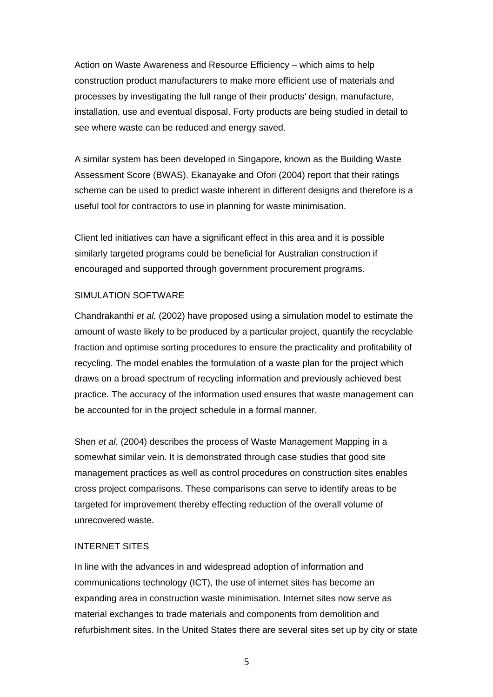Action on Waste Awareness and Resource Efficiency – which aims to help construction product manufacturers to make more efficient use of materials and processes by investigating the full range of their products' design, manufacture, installation, use and eventual disposal. Forty products are being studied in detail to see where waste can be reduced and energy saved.

A similar system has been developed in Singapore, known as the Building Waste Assessment Score (BWAS). Ekanayake and Ofori (2004) report that their ratings scheme can be used to predict waste inherent in different designs and therefore is a useful tool for contractors to use in planning for waste minimisation.

Client led initiatives can have a significant effect in this area and it is possible similarly targeted programs could be beneficial for Australian construction if encouraged and supported through government procurement programs.

### SIMULATION SOFTWARE

Chandrakanthi *et al.* (2002) have proposed using a simulation model to estimate the amount of waste likely to be produced by a particular project, quantify the recyclable fraction and optimise sorting procedures to ensure the practicality and profitability of recycling. The model enables the formulation of a waste plan for the project which draws on a broad spectrum of recycling information and previously achieved best practice. The accuracy of the information used ensures that waste management can be accounted for in the project schedule in a formal manner.

Shen *et al.* (2004) describes the process of Waste Management Mapping in a somewhat similar vein. It is demonstrated through case studies that good site management practices as well as control procedures on construction sites enables cross project comparisons. These comparisons can serve to identify areas to be targeted for improvement thereby effecting reduction of the overall volume of unrecovered waste.

#### INTERNET SITES

In line with the advances in and widespread adoption of information and communications technology (ICT), the use of internet sites has become an expanding area in construction waste minimisation. Internet sites now serve as material exchanges to trade materials and components from demolition and refurbishment sites. In the United States there are several sites set up by city or state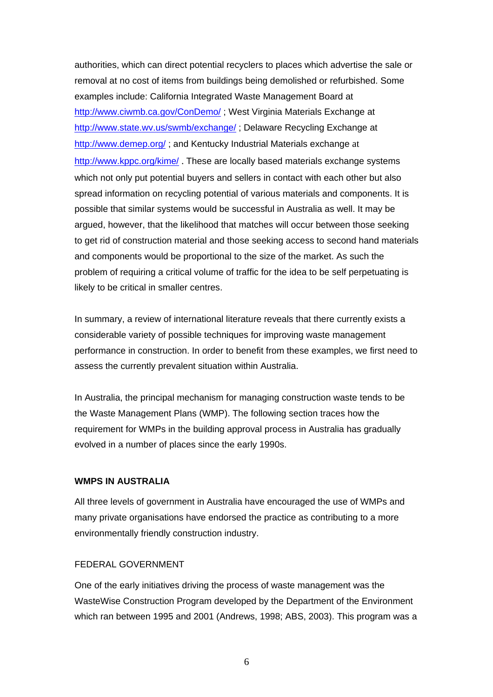authorities, which can direct potential recyclers to places which advertise the sale or removal at no cost of items from buildings being demolished or refurbished. Some examples include: California Integrated Waste Management Board at http://www.ciwmb.ca.gov/ConDemo/; West Virginia Materials Exchange at http://www.state.wv.us/swmb/exchange/ ; Delaware Recycling Exchange at http://www.demep.org/ ; and Kentucky Industrial Materials exchange at http://www.kppc.org/kime/ . These are locally based materials exchange systems which not only put potential buyers and sellers in contact with each other but also spread information on recycling potential of various materials and components. It is possible that similar systems would be successful in Australia as well. It may be argued, however, that the likelihood that matches will occur between those seeking to get rid of construction material and those seeking access to second hand materials and components would be proportional to the size of the market. As such the problem of requiring a critical volume of traffic for the idea to be self perpetuating is likely to be critical in smaller centres.

In summary, a review of international literature reveals that there currently exists a considerable variety of possible techniques for improving waste management performance in construction. In order to benefit from these examples, we first need to assess the currently prevalent situation within Australia.

In Australia, the principal mechanism for managing construction waste tends to be the Waste Management Plans (WMP). The following section traces how the requirement for WMPs in the building approval process in Australia has gradually evolved in a number of places since the early 1990s.

#### **WMPS IN AUSTRALIA**

All three levels of government in Australia have encouraged the use of WMPs and many private organisations have endorsed the practice as contributing to a more environmentally friendly construction industry.

## FEDERAL GOVERNMENT

One of the early initiatives driving the process of waste management was the WasteWise Construction Program developed by the Department of the Environment which ran between 1995 and 2001 (Andrews, 1998; ABS, 2003). This program was a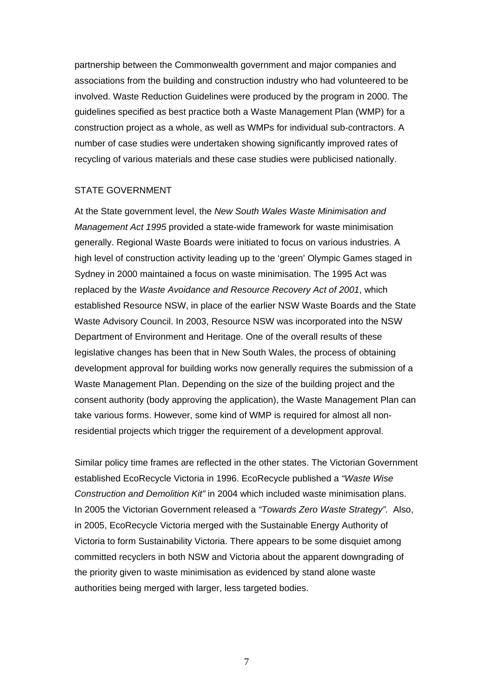partnership between the Commonwealth government and major companies and associations from the building and construction industry who had volunteered to be involved. Waste Reduction Guidelines were produced by the program in 2000. The guidelines specified as best practice both a Waste Management Plan (WMP) for a construction project as a whole, as well as WMPs for individual sub-contractors. A number of case studies were undertaken showing significantly improved rates of recycling of various materials and these case studies were publicised nationally.

#### STATE GOVERNMENT

At the State government level, the *New South Wales Waste Minimisation and Management Act 1995* provided a state-wide framework for waste minimisation generally. Regional Waste Boards were initiated to focus on various industries. A high level of construction activity leading up to the 'green' Olympic Games staged in Sydney in 2000 maintained a focus on waste minimisation. The 1995 Act was replaced by the *Waste Avoidance and Resource Recovery Act of 2001*, which established Resource NSW, in place of the earlier NSW Waste Boards and the State Waste Advisory Council. In 2003, Resource NSW was incorporated into the NSW Department of Environment and Heritage. One of the overall results of these legislative changes has been that in New South Wales, the process of obtaining development approval for building works now generally requires the submission of a Waste Management Plan. Depending on the size of the building project and the consent authority (body approving the application), the Waste Management Plan can take various forms. However, some kind of WMP is required for almost all nonresidential projects which trigger the requirement of a development approval.

Similar policy time frames are reflected in the other states. The Victorian Government established EcoRecycle Victoria in 1996. EcoRecycle published a *"Waste Wise Construction and Demolition Kit"* in 2004 which included waste minimisation plans. In 2005 the Victorian Government released a *"Towards Zero Waste Strategy".* Also, in 2005, EcoRecycle Victoria merged with the Sustainable Energy Authority of Victoria to form Sustainability Victoria. There appears to be some disquiet among committed recyclers in both NSW and Victoria about the apparent downgrading of the priority given to waste minimisation as evidenced by stand alone waste authorities being merged with larger, less targeted bodies.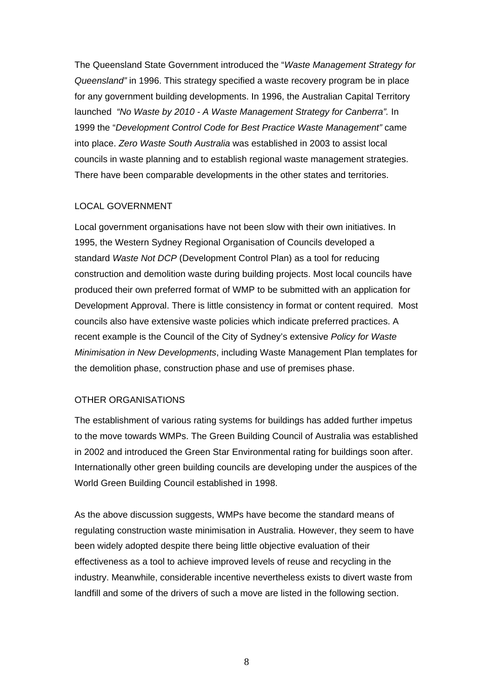The Queensland State Government introduced the "*Waste Management Strategy for Queensland"* in 1996. This strategy specified a waste recovery program be in place for any government building developments. In 1996, the Australian Capital Territory launched *"No Waste by 2010 - A Waste Management Strategy for Canberra".* In 1999 the "*Development Control Code for Best Practice Waste Management"* came into place. *Zero Waste South Australia* was established in 2003 to assist local councils in waste planning and to establish regional waste management strategies. There have been comparable developments in the other states and territories.

### LOCAL GOVERNMENT

Local government organisations have not been slow with their own initiatives. In 1995, the Western Sydney Regional Organisation of Councils developed a standard *Waste Not DCP* (Development Control Plan) as a tool for reducing construction and demolition waste during building projects. Most local councils have produced their own preferred format of WMP to be submitted with an application for Development Approval. There is little consistency in format or content required. Most councils also have extensive waste policies which indicate preferred practices. A recent example is the Council of the City of Sydney's extensive *Policy for Waste Minimisation in New Developments*, including Waste Management Plan templates for the demolition phase, construction phase and use of premises phase.

### OTHER ORGANISATIONS

The establishment of various rating systems for buildings has added further impetus to the move towards WMPs. The Green Building Council of Australia was established in 2002 and introduced the Green Star Environmental rating for buildings soon after. Internationally other green building councils are developing under the auspices of the World Green Building Council established in 1998.

As the above discussion suggests, WMPs have become the standard means of regulating construction waste minimisation in Australia. However, they seem to have been widely adopted despite there being little objective evaluation of their effectiveness as a tool to achieve improved levels of reuse and recycling in the industry. Meanwhile, considerable incentive nevertheless exists to divert waste from landfill and some of the drivers of such a move are listed in the following section.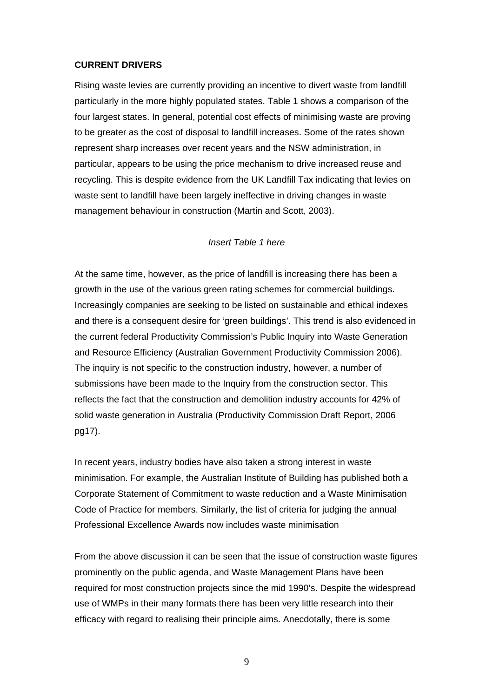#### **CURRENT DRIVERS**

Rising waste levies are currently providing an incentive to divert waste from landfill particularly in the more highly populated states. Table 1 shows a comparison of the four largest states. In general, potential cost effects of minimising waste are proving to be greater as the cost of disposal to landfill increases. Some of the rates shown represent sharp increases over recent years and the NSW administration, in particular, appears to be using the price mechanism to drive increased reuse and recycling. This is despite evidence from the UK Landfill Tax indicating that levies on waste sent to landfill have been largely ineffective in driving changes in waste management behaviour in construction (Martin and Scott, 2003).

## *Insert Table 1 here*

At the same time, however, as the price of landfill is increasing there has been a growth in the use of the various green rating schemes for commercial buildings. Increasingly companies are seeking to be listed on sustainable and ethical indexes and there is a consequent desire for 'green buildings'. This trend is also evidenced in the current federal Productivity Commission's Public Inquiry into Waste Generation and Resource Efficiency (Australian Government Productivity Commission 2006). The inquiry is not specific to the construction industry, however, a number of submissions have been made to the Inquiry from the construction sector. This reflects the fact that the construction and demolition industry accounts for 42% of solid waste generation in Australia (Productivity Commission Draft Report, 2006 pg17).

In recent years, industry bodies have also taken a strong interest in waste minimisation. For example, the Australian Institute of Building has published both a Corporate Statement of Commitment to waste reduction and a Waste Minimisation Code of Practice for members. Similarly, the list of criteria for judging the annual Professional Excellence Awards now includes waste minimisation

From the above discussion it can be seen that the issue of construction waste figures prominently on the public agenda, and Waste Management Plans have been required for most construction projects since the mid 1990's. Despite the widespread use of WMPs in their many formats there has been very little research into their efficacy with regard to realising their principle aims. Anecdotally, there is some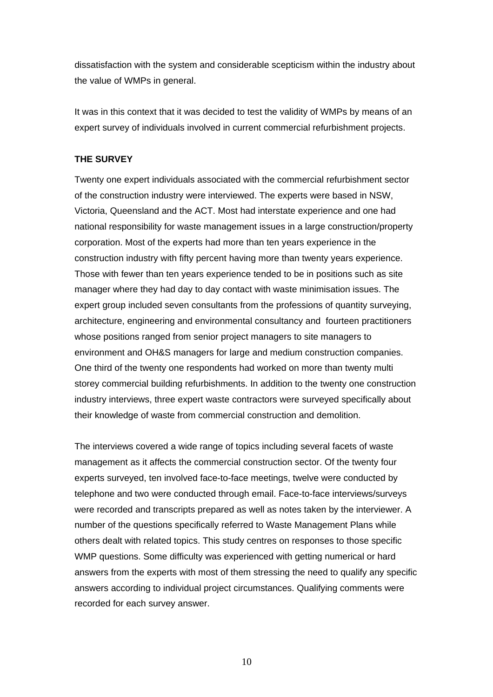dissatisfaction with the system and considerable scepticism within the industry about the value of WMPs in general.

It was in this context that it was decided to test the validity of WMPs by means of an expert survey of individuals involved in current commercial refurbishment projects.

### **THE SURVEY**

Twenty one expert individuals associated with the commercial refurbishment sector of the construction industry were interviewed. The experts were based in NSW, Victoria, Queensland and the ACT. Most had interstate experience and one had national responsibility for waste management issues in a large construction/property corporation. Most of the experts had more than ten years experience in the construction industry with fifty percent having more than twenty years experience. Those with fewer than ten years experience tended to be in positions such as site manager where they had day to day contact with waste minimisation issues. The expert group included seven consultants from the professions of quantity surveying, architecture, engineering and environmental consultancy and fourteen practitioners whose positions ranged from senior project managers to site managers to environment and OH&S managers for large and medium construction companies. One third of the twenty one respondents had worked on more than twenty multi storey commercial building refurbishments. In addition to the twenty one construction industry interviews, three expert waste contractors were surveyed specifically about their knowledge of waste from commercial construction and demolition.

The interviews covered a wide range of topics including several facets of waste management as it affects the commercial construction sector. Of the twenty four experts surveyed, ten involved face-to-face meetings, twelve were conducted by telephone and two were conducted through email. Face-to-face interviews/surveys were recorded and transcripts prepared as well as notes taken by the interviewer. A number of the questions specifically referred to Waste Management Plans while others dealt with related topics. This study centres on responses to those specific WMP questions. Some difficulty was experienced with getting numerical or hard answers from the experts with most of them stressing the need to qualify any specific answers according to individual project circumstances. Qualifying comments were recorded for each survey answer.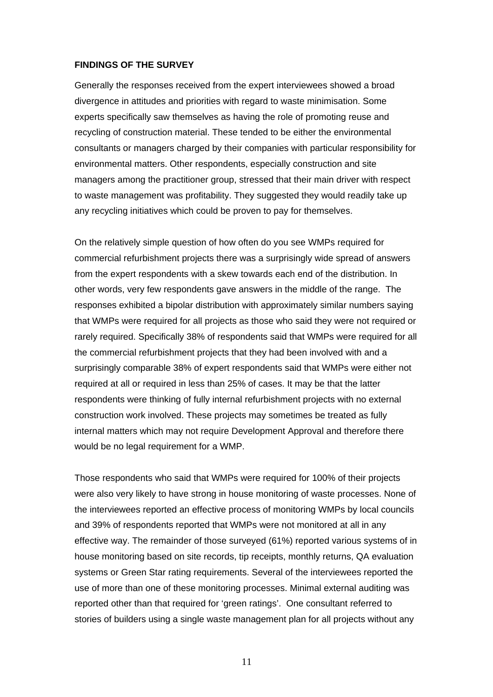#### **FINDINGS OF THE SURVEY**

Generally the responses received from the expert interviewees showed a broad divergence in attitudes and priorities with regard to waste minimisation. Some experts specifically saw themselves as having the role of promoting reuse and recycling of construction material. These tended to be either the environmental consultants or managers charged by their companies with particular responsibility for environmental matters. Other respondents, especially construction and site managers among the practitioner group, stressed that their main driver with respect to waste management was profitability. They suggested they would readily take up any recycling initiatives which could be proven to pay for themselves.

On the relatively simple question of how often do you see WMPs required for commercial refurbishment projects there was a surprisingly wide spread of answers from the expert respondents with a skew towards each end of the distribution. In other words, very few respondents gave answers in the middle of the range. The responses exhibited a bipolar distribution with approximately similar numbers saying that WMPs were required for all projects as those who said they were not required or rarely required. Specifically 38% of respondents said that WMPs were required for all the commercial refurbishment projects that they had been involved with and a surprisingly comparable 38% of expert respondents said that WMPs were either not required at all or required in less than 25% of cases. It may be that the latter respondents were thinking of fully internal refurbishment projects with no external construction work involved. These projects may sometimes be treated as fully internal matters which may not require Development Approval and therefore there would be no legal requirement for a WMP.

Those respondents who said that WMPs were required for 100% of their projects were also very likely to have strong in house monitoring of waste processes. None of the interviewees reported an effective process of monitoring WMPs by local councils and 39% of respondents reported that WMPs were not monitored at all in any effective way. The remainder of those surveyed (61%) reported various systems of in house monitoring based on site records, tip receipts, monthly returns, QA evaluation systems or Green Star rating requirements. Several of the interviewees reported the use of more than one of these monitoring processes. Minimal external auditing was reported other than that required for 'green ratings'. One consultant referred to stories of builders using a single waste management plan for all projects without any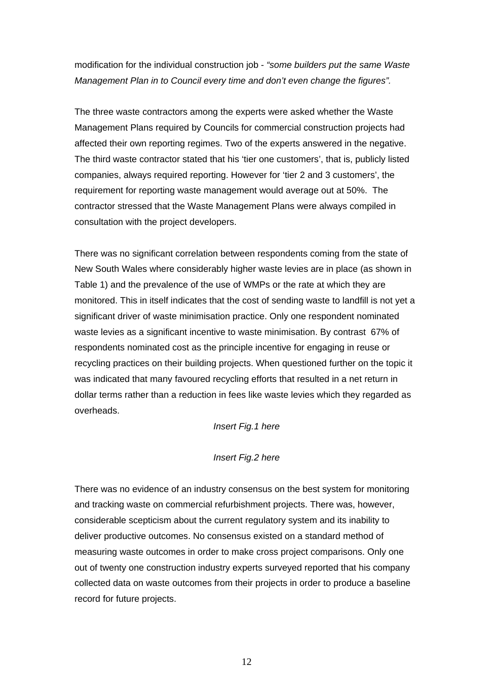modification for the individual construction job - *"some builders put the same Waste Management Plan in to Council every time and don't even change the figures".*

The three waste contractors among the experts were asked whether the Waste Management Plans required by Councils for commercial construction projects had affected their own reporting regimes. Two of the experts answered in the negative. The third waste contractor stated that his 'tier one customers', that is, publicly listed companies, always required reporting. However for 'tier 2 and 3 customers', the requirement for reporting waste management would average out at 50%. The contractor stressed that the Waste Management Plans were always compiled in consultation with the project developers.

There was no significant correlation between respondents coming from the state of New South Wales where considerably higher waste levies are in place (as shown in Table 1) and the prevalence of the use of WMPs or the rate at which they are monitored. This in itself indicates that the cost of sending waste to landfill is not yet a significant driver of waste minimisation practice. Only one respondent nominated waste levies as a significant incentive to waste minimisation. By contrast 67% of respondents nominated cost as the principle incentive for engaging in reuse or recycling practices on their building projects. When questioned further on the topic it was indicated that many favoured recycling efforts that resulted in a net return in dollar terms rather than a reduction in fees like waste levies which they regarded as overheads.

### *Insert Fig.1 here*

#### *Insert Fig.2 here*

There was no evidence of an industry consensus on the best system for monitoring and tracking waste on commercial refurbishment projects. There was, however, considerable scepticism about the current regulatory system and its inability to deliver productive outcomes. No consensus existed on a standard method of measuring waste outcomes in order to make cross project comparisons. Only one out of twenty one construction industry experts surveyed reported that his company collected data on waste outcomes from their projects in order to produce a baseline record for future projects.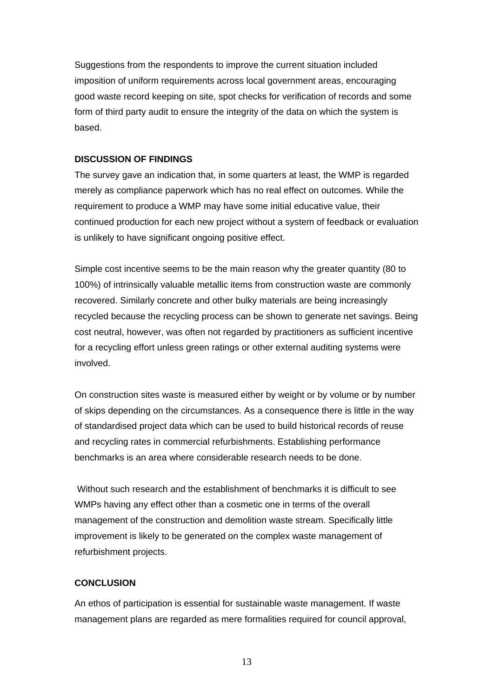Suggestions from the respondents to improve the current situation included imposition of uniform requirements across local government areas, encouraging good waste record keeping on site, spot checks for verification of records and some form of third party audit to ensure the integrity of the data on which the system is based.

#### **DISCUSSION OF FINDINGS**

The survey gave an indication that, in some quarters at least, the WMP is regarded merely as compliance paperwork which has no real effect on outcomes. While the requirement to produce a WMP may have some initial educative value, their continued production for each new project without a system of feedback or evaluation is unlikely to have significant ongoing positive effect.

Simple cost incentive seems to be the main reason why the greater quantity (80 to 100%) of intrinsically valuable metallic items from construction waste are commonly recovered. Similarly concrete and other bulky materials are being increasingly recycled because the recycling process can be shown to generate net savings. Being cost neutral, however, was often not regarded by practitioners as sufficient incentive for a recycling effort unless green ratings or other external auditing systems were involved.

On construction sites waste is measured either by weight or by volume or by number of skips depending on the circumstances. As a consequence there is little in the way of standardised project data which can be used to build historical records of reuse and recycling rates in commercial refurbishments. Establishing performance benchmarks is an area where considerable research needs to be done.

 Without such research and the establishment of benchmarks it is difficult to see WMPs having any effect other than a cosmetic one in terms of the overall management of the construction and demolition waste stream. Specifically little improvement is likely to be generated on the complex waste management of refurbishment projects.

#### **CONCLUSION**

An ethos of participation is essential for sustainable waste management. If waste management plans are regarded as mere formalities required for council approval,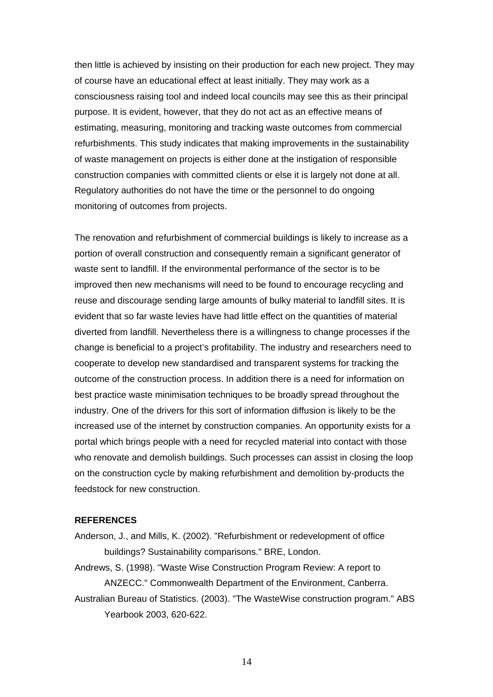then little is achieved by insisting on their production for each new project. They may of course have an educational effect at least initially. They may work as a consciousness raising tool and indeed local councils may see this as their principal purpose. It is evident, however, that they do not act as an effective means of estimating, measuring, monitoring and tracking waste outcomes from commercial refurbishments. This study indicates that making improvements in the sustainability of waste management on projects is either done at the instigation of responsible construction companies with committed clients or else it is largely not done at all. Regulatory authorities do not have the time or the personnel to do ongoing monitoring of outcomes from projects.

The renovation and refurbishment of commercial buildings is likely to increase as a portion of overall construction and consequently remain a significant generator of waste sent to landfill. If the environmental performance of the sector is to be improved then new mechanisms will need to be found to encourage recycling and reuse and discourage sending large amounts of bulky material to landfill sites. It is evident that so far waste levies have had little effect on the quantities of material diverted from landfill. Nevertheless there is a willingness to change processes if the change is beneficial to a project's profitability. The industry and researchers need to cooperate to develop new standardised and transparent systems for tracking the outcome of the construction process. In addition there is a need for information on best practice waste minimisation techniques to be broadly spread throughout the industry. One of the drivers for this sort of information diffusion is likely to be the increased use of the internet by construction companies. An opportunity exists for a portal which brings people with a need for recycled material into contact with those who renovate and demolish buildings. Such processes can assist in closing the loop on the construction cycle by making refurbishment and demolition by-products the feedstock for new construction.

#### **REFERENCES**

Anderson, J., and Mills, K. (2002). "Refurbishment or redevelopment of office buildings? Sustainability comparisons." BRE, London.

Andrews, S. (1998). "Waste Wise Construction Program Review: A report to ANZECC." Commonwealth Department of the Environment, Canberra. Australian Bureau of Statistics. (2003). "The WasteWise construction program." ABS

Yearbook 2003, 620-622.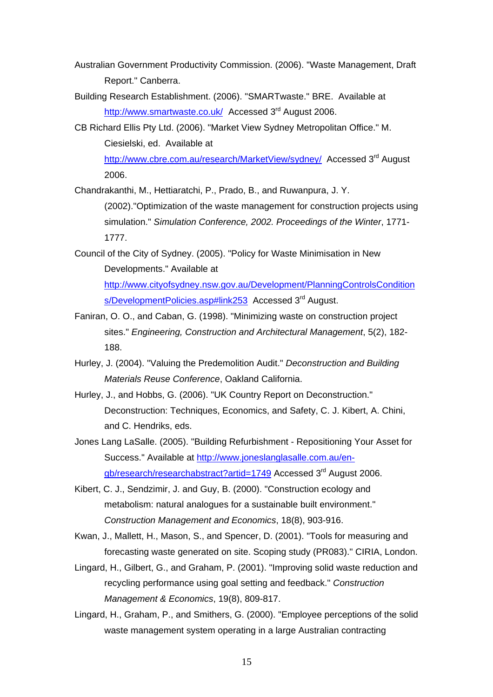- Australian Government Productivity Commission. (2006). "Waste Management, Draft Report." Canberra.
- Building Research Establishment. (2006). "SMARTwaste." BRE. Available at http://www.smartwaste.co.uk/ Accessed 3<sup>rd</sup> August 2006.
- CB Richard Ellis Pty Ltd. (2006). "Market View Sydney Metropolitan Office." M. Ciesielski, ed. Available at

http://www.cbre.com.au/research/MarketView/sydney/ Accessed 3<sup>rd</sup> August 2006.

Chandrakanthi, M., Hettiaratchi, P., Prado, B., and Ruwanpura, J. Y.

(2002)."Optimization of the waste management for construction projects using simulation." *Simulation Conference, 2002. Proceedings of the Winter*, 1771- 1777.

Council of the City of Sydney. (2005). "Policy for Waste Minimisation in New Developments." Available at http://www.cityofsydney.nsw.gov.au/Development/PlanningControlsCondition s/DevelopmentPolicies.asp#link253 Accessed 3<sup>rd</sup> August.

- Faniran, O. O., and Caban, G. (1998). "Minimizing waste on construction project sites." *Engineering, Construction and Architectural Management*, 5(2), 182- 188.
- Hurley, J. (2004). "Valuing the Predemolition Audit." *Deconstruction and Building Materials Reuse Conference*, Oakland California.
- Hurley, J., and Hobbs, G. (2006). "UK Country Report on Deconstruction." Deconstruction: Techniques, Economics, and Safety, C. J. Kibert, A. Chini, and C. Hendriks, eds.
- Jones Lang LaSalle. (2005). "Building Refurbishment Repositioning Your Asset for Success." Available at http://www.joneslanglasalle.com.au/engb/research/researchabstract?artid=1749 Accessed 3<sup>rd</sup> August 2006.
- Kibert, C. J., Sendzimir, J. and Guy, B. (2000). "Construction ecology and metabolism: natural analogues for a sustainable built environment." *Construction Management and Economics*, 18(8), 903-916.

Kwan, J., Mallett, H., Mason, S., and Spencer, D. (2001). "Tools for measuring and forecasting waste generated on site. Scoping study (PR083)." CIRIA, London.

Lingard, H., Gilbert, G., and Graham, P. (2001). "Improving solid waste reduction and recycling performance using goal setting and feedback." *Construction Management & Economics*, 19(8), 809-817.

Lingard, H., Graham, P., and Smithers, G. (2000). "Employee perceptions of the solid waste management system operating in a large Australian contracting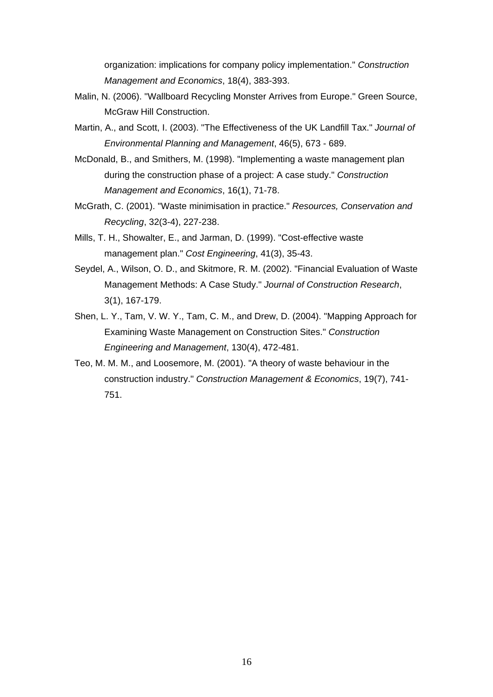organization: implications for company policy implementation." *Construction Management and Economics*, 18(4), 383-393.

- Malin, N. (2006). "Wallboard Recycling Monster Arrives from Europe." Green Source, McGraw Hill Construction.
- Martin, A., and Scott, I. (2003). "The Effectiveness of the UK Landfill Tax." *Journal of Environmental Planning and Management*, 46(5), 673 - 689.
- McDonald, B., and Smithers, M. (1998). "Implementing a waste management plan during the construction phase of a project: A case study." *Construction Management and Economics*, 16(1), 71-78.
- McGrath, C. (2001). "Waste minimisation in practice." *Resources, Conservation and Recycling*, 32(3-4), 227-238.
- Mills, T. H., Showalter, E., and Jarman, D. (1999). "Cost-effective waste management plan." *Cost Engineering*, 41(3), 35-43.
- Seydel, A., Wilson, O. D., and Skitmore, R. M. (2002). "Financial Evaluation of Waste Management Methods: A Case Study." *Journal of Construction Research*, 3(1), 167-179.
- Shen, L. Y., Tam, V. W. Y., Tam, C. M., and Drew, D. (2004). "Mapping Approach for Examining Waste Management on Construction Sites." *Construction Engineering and Management*, 130(4), 472-481.
- Teo, M. M. M., and Loosemore, M. (2001). "A theory of waste behaviour in the construction industry." *Construction Management & Economics*, 19(7), 741- 751.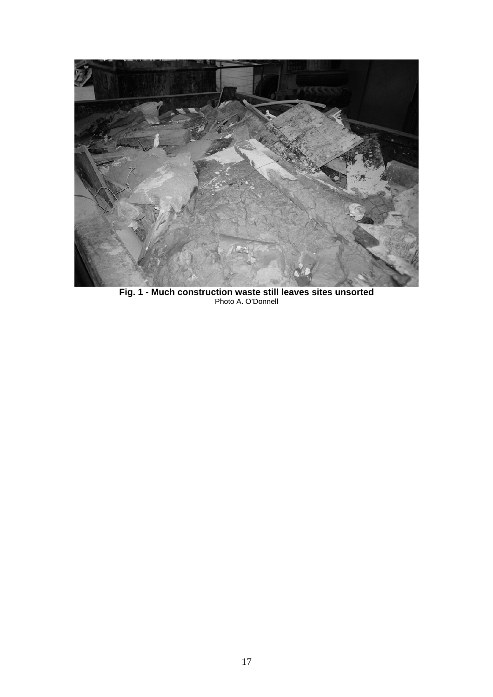

**Fig. 1 - Much construction waste still leaves sites unsorted**  Photo A. O'Donnell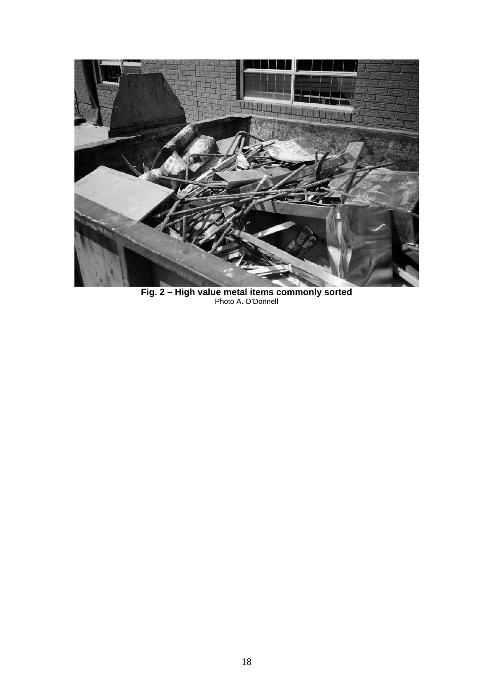

**Fig. 2 – High value metal items commonly sorted**  Photo A. O'Donnell